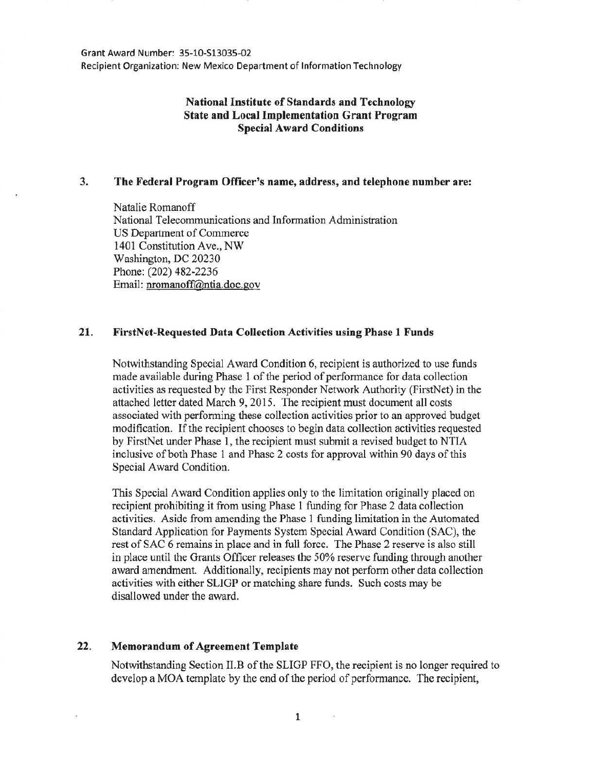Grant Award Number: 35-10-513035-02 Recipient Organization: New Mexico Department of Information Technology

# **National Institute of Standards and Technology State and Local Implementation Grant Program Special Award Conditions**

# **3. The Federal Program Officer's name, address, and telephone number are:**

Natalie Romanoff National Telecommunications and Information Administration US Department of Commerce 1401 Constitution Ave., NW Washington, DC 20230 Phone: (202) 482-2236 Email: nromanoff@ntia.doc.gov

# **21. FirstNet-Requested Data Collection Activities using Phase 1 Funds**

Notwithstanding Special Award Condition 6, recipient is authorized to use funds made available during Phase 1 of the period of performance for data collection activities as requested by the First Responder Network Authority (FirstNet) in the attached letter dated March 9, 2015. The recipient must document all costs associated with performing these collection activities prior to an approved budget modification. If the recipient chooses to begin data collection activities requested by FirstNet under Phase l, the recipient must submit a revised budget to NTIA inclusive of both Phase 1 and Phase 2 costs for approval within 90 days of this Special Award Condition.

This Special Award Condition applies only to the limitation originally placed on recipient prohibiting it from using Phase 1 funding for Phase 2 data collection activities. Aside from amending the Phase 1 funding limitation in the Automated Standard Application for Payments System Special Award Condition (SAC), the rest of SAC 6 remains in place and in full force. The Phase 2 reserve is also still in place until the Grants Officer releases the 50% reserve funding through another award amendment. Additionally, recipients may not perform other data collection activities with either SUGP or matching share funds. Such costs may be disallowed under the award.

# **22. Memorandum of Agreement Template**

Notwithstanding Section II.B of the SLIGP FFO, the recipient is no longer required to develop a MOA template by the end of the period of performance. The recipient,

1

 $\sim$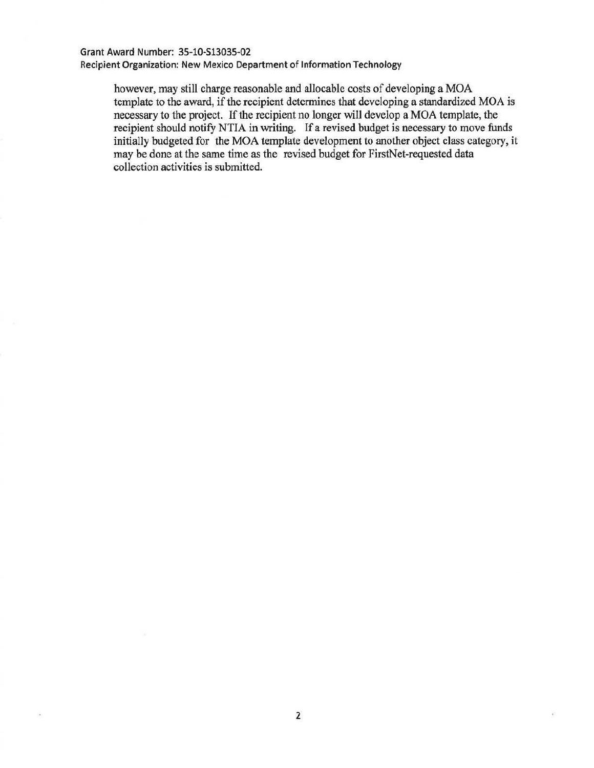#### Grant Award Number: 35·10-S13035-02

Recipient Organization: New Mexico Department of Information Technology

however, may still charge reasonable and allocable costs of developing a MOA template to the award, if the recipient determines that developing a standardized MOA is necessary to the project. If the recipient no longer will develop a MOA template, the recipient should notify NTIA in writing. If a revised budget is necessary to move funds initially budgeted for the MOA template development to another object class category, it may be done at the same time as the revised budget for FirstNet-requested data collection activities is submitted.

B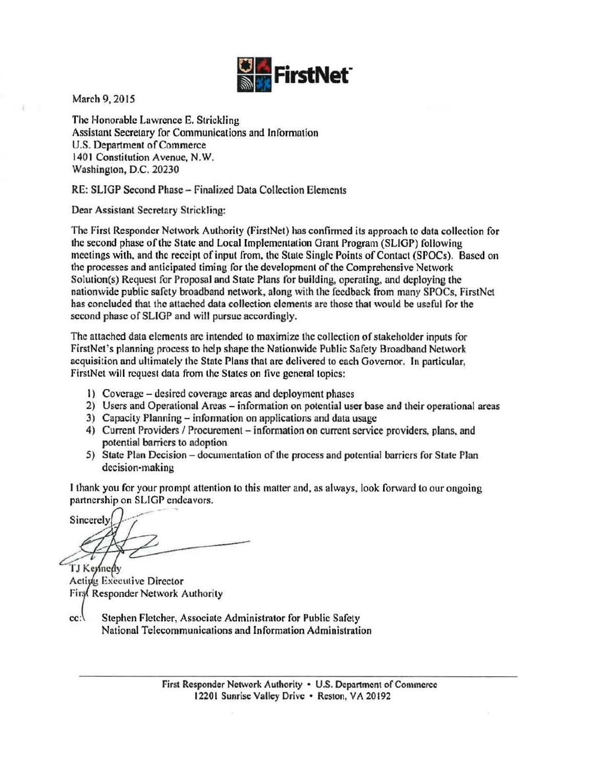

March 9, 2015

The Honorable Lawrence E. Strickling Assistant Secretary for Communications and Information U.S. Department of Commerce 1401 Constitution Avenue, N.W. Washington, D.C. 20230

RE: SLIGP Second Phase - Finalized Data Collection Elements

Dear Assistant Secretary Strickling:

The First Responder Network Authority (FirstNet) has confirmed its approach to data collection for the second phase of the State and Local Implementation Grant Program (SLIGP) following meetings with, and the receipt of input from, the State Single Points of Contact (SPOCs). Based on the processes and anticipated timing for the development of the Comprehensive Network Solution(s) Request for Proposal and State Plans for building, operating, and deploying the nationwide public safety broadband network, along with the feedback from many SPOCs, FirstNet has concluded that the attached data collection elements are those that would be useful for the second phase of SLIGP and will pursue accordingly.

The attached data elements are intended to maximize the collection of stakeholder inputs for FirstNet's planning process to help shape the Nationwide Public Safety Broadband Network acquisition and ultimately the State Plans that are delivered to each Governor. In particular, FirstNct will request data from the States on five general topics:

- 1) Coverage desired coverage areas and deployment phases
- 2) Users and Operational Areas information on potential user base and their operational areas
- 3) Capacity Planning- infonnation on applications and data usage
- 4) Current Providers / Procurement information on current service providers, plans, and potential barriers to adoption
- 5) State Plan Decision documentation of the process and potential barriers for State Plan decision-making

I thank you for your prompt attention to this matter and, as always, look forward to our ongoing partnership on SLIGP endeavors.

Sincerely

TJ Keynedy<br>Acting Executive Director Firs(Responder Network Authority

cc: Stephen Fletcher, Associate Administrator for Public Safety National Telecommunications and Information Administration